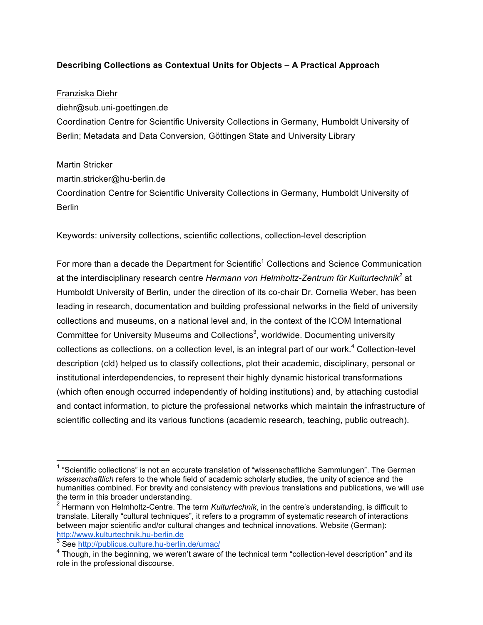# **Describing Collections as Contextual Units for Objects – A Practical Approach**

## Franziska Diehr

diehr@sub.uni-goettingen.de

Coordination Centre for Scientific University Collections in Germany, Humboldt University of Berlin; Metadata and Data Conversion, Göttingen State and University Library

## Martin Stricker

martin.stricker@hu-berlin.de Coordination Centre for Scientific University Collections in Germany, Humboldt University of Berlin

Keywords: university collections, scientific collections, collection-level description

For more than a decade the Department for Scientific<sup>1</sup> Collections and Science Communication at the interdisciplinary research centre *Hermann von Helmholtz-Zentrum für Kulturtechnik<sup>2</sup>* at Humboldt University of Berlin, under the direction of its co-chair Dr. Cornelia Weber, has been leading in research, documentation and building professional networks in the field of university collections and museums, on a national level and, in the context of the ICOM International Committee for University Museums and Collections<sup>3</sup>, worldwide. Documenting university collections as collections, on a collection level, is an integral part of our work.<sup>4</sup> Collection-level description (cld) helped us to classify collections, plot their academic, disciplinary, personal or institutional interdependencies, to represent their highly dynamic historical transformations (which often enough occurred independently of holding institutions) and, by attaching custodial and contact information, to picture the professional networks which maintain the infrastructure of scientific collecting and its various functions (academic research, teaching, public outreach).

 $1$  "Scientific collections" is not an accurate translation of "wissenschaftliche Sammlungen". The German *wissenschaftlich* refers to the whole field of academic scholarly studies, the unity of science and the humanities combined. For brevity and consistency with previous translations and publications, we will use the term in this broader understanding.

<sup>2</sup> Hermann von Helmholtz-Centre. The term *Kulturtechnik*, in the centre's understanding, is difficult to translate. Literally "cultural techniques", it refers to a programm of systematic research of interactions between major scientific and/or cultural changes and technical innovations. Website (German): http://www.kulturtechnik.hu-berlin.de

<sup>&</sup>lt;sup>3</sup> See http://publicus.culture.hu-berlin.de/umac/

<sup>&</sup>lt;sup>4</sup> Though, in the beginning, we weren't aware of the technical term "collection-level description" and its role in the professional discourse.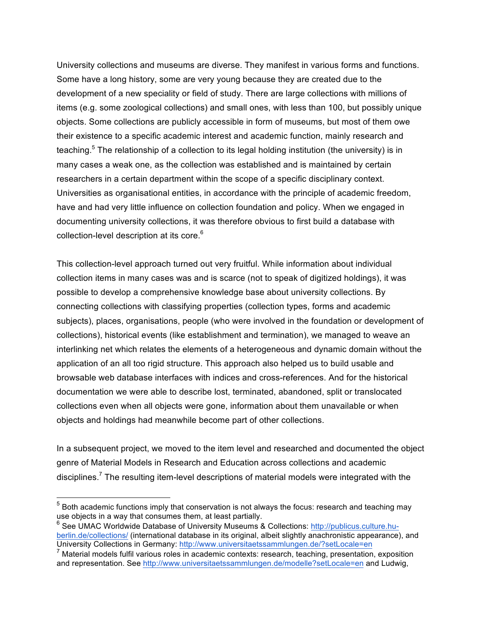University collections and museums are diverse. They manifest in various forms and functions. Some have a long history, some are very young because they are created due to the development of a new speciality or field of study. There are large collections with millions of items (e.g. some zoological collections) and small ones, with less than 100, but possibly unique objects. Some collections are publicly accessible in form of museums, but most of them owe their existence to a specific academic interest and academic function, mainly research and teaching.<sup>5</sup> The relationship of a collection to its legal holding institution (the university) is in many cases a weak one, as the collection was established and is maintained by certain researchers in a certain department within the scope of a specific disciplinary context. Universities as organisational entities, in accordance with the principle of academic freedom, have and had very little influence on collection foundation and policy. When we engaged in documenting university collections, it was therefore obvious to first build a database with collection-level description at its core. 6

This collection-level approach turned out very fruitful. While information about individual collection items in many cases was and is scarce (not to speak of digitized holdings), it was possible to develop a comprehensive knowledge base about university collections. By connecting collections with classifying properties (collection types, forms and academic subjects), places, organisations, people (who were involved in the foundation or development of collections), historical events (like establishment and termination), we managed to weave an interlinking net which relates the elements of a heterogeneous and dynamic domain without the application of an all too rigid structure. This approach also helped us to build usable and browsable web database interfaces with indices and cross-references. And for the historical documentation we were able to describe lost, terminated, abandoned, split or translocated collections even when all objects were gone, information about them unavailable or when objects and holdings had meanwhile become part of other collections.

In a subsequent project, we moved to the item level and researched and documented the object genre of Material Models in Research and Education across collections and academic disciplines.<sup>7</sup> The resulting item-level descriptions of material models were integrated with the

 $<sup>5</sup>$  Both academic functions imply that conservation is not always the focus: research and teaching may</sup> use objects in a way that consumes them, at least partially.

 $6$  See UMAC Worldwide Database of University Museums & Collections: http://publicus.culture.huberlin.de/collections/ (international database in its original, albeit slightly anachronistic appearance), and University Collections in Germany: http://www.universitaetssammlungen.de/?setLocale=en

 $<sup>7</sup>$  Material models fulfil various roles in academic contexts: research, teaching, presentation, exposition</sup> and representation. See http://www.universitaetssammlungen.de/modelle?setLocale=en and Ludwig,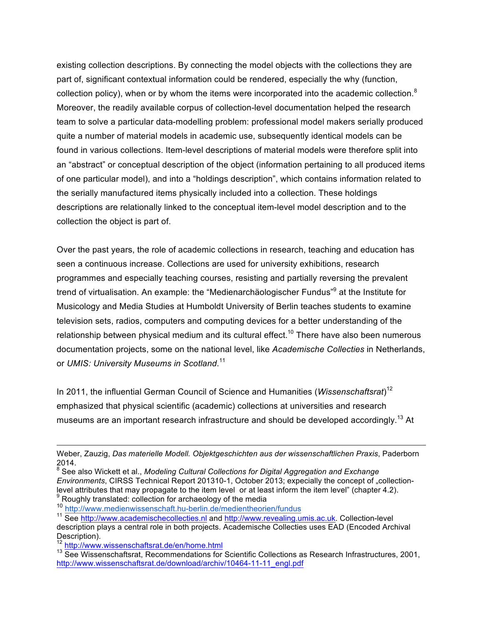existing collection descriptions. By connecting the model objects with the collections they are part of, significant contextual information could be rendered, especially the why (function, collection policy), when or by whom the items were incorporated into the academic collection. $8$ Moreover, the readily available corpus of collection-level documentation helped the research team to solve a particular data-modelling problem: professional model makers serially produced quite a number of material models in academic use, subsequently identical models can be found in various collections. Item-level descriptions of material models were therefore split into an "abstract" or conceptual description of the object (information pertaining to all produced items of one particular model), and into a "holdings description", which contains information related to the serially manufactured items physically included into a collection. These holdings descriptions are relationally linked to the conceptual item-level model description and to the collection the object is part of.

Over the past years, the role of academic collections in research, teaching and education has seen a continuous increase. Collections are used for university exhibitions, research programmes and especially teaching courses, resisting and partially reversing the prevalent trend of virtualisation. An example: the "Medienarchäologischer Fundus"9 at the Institute for Musicology and Media Studies at Humboldt University of Berlin teaches students to examine television sets, radios, computers and computing devices for a better understanding of the relationship between physical medium and its cultural effect.<sup>10</sup> There have also been numerous documentation projects, some on the national level, like *Academische Collecties* in Netherlands, or *UMIS: University Museums in Scotland*. 11

In 2011, the influential German Council of Science and Humanities (*Wissenschaftsrat*) 12 emphasized that physical scientific (academic) collections at universities and research museums are an important research infrastructure and should be developed accordingly.<sup>13</sup> At

<sup>10</sup> http://www.medienwissenschaft.hu-berlin.de/medientheorien/fundus

1

Weber, Zauzig, *Das materielle Modell. Objektgeschichten aus der wissenschaftlichen Praxis*, Paderborn 2014.

<sup>8</sup> See also Wickett et al., *Modeling Cultural Collections for Digital Aggregation and Exchange Environments*, CIRSS Technical Report 201310-1, October 2013; expecially the concept of "collectionlevel attributes that may propagate to the item level or at least inform the item level" (chapter 4.2).  $9$ <br>Roughly translated: collection for archaeology of the media

<sup>&</sup>lt;sup>11</sup> See http://www.academischecollecties.nl and http://www.revealing.umis.ac.uk. Collection-level description plays a central role in both projects. Academische Collecties uses EAD (Encoded Archival Description).<br><sup>12</sup> http://www.wissenschaftsrat.de/en/home.html

 $13$  See Wissenschaftsrat. Recommendations for Scientific Collections as Research Infrastructures, 2001, http://www.wissenschaftsrat.de/download/archiv/10464-11-11\_engl.pdf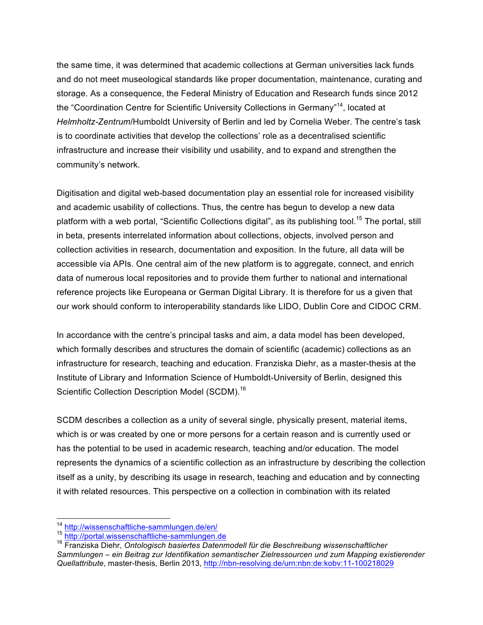the same time, it was determined that academic collections at German universities lack funds and do not meet museological standards like proper documentation, maintenance, curating and storage. As a consequence, the Federal Ministry of Education and Research funds since 2012 the "Coordination Centre for Scientific University Collections in Germany"<sup>14</sup>, located at *Helmholtz-Zentrum*/Humboldt University of Berlin and led by Cornelia Weber. The centre's task is to coordinate activities that develop the collections' role as a decentralised scientific infrastructure and increase their visibility und usability, and to expand and strengthen the community's network.

Digitisation and digital web-based documentation play an essential role for increased visibility and academic usability of collections. Thus, the centre has begun to develop a new data platform with a web portal, "Scientific Collections digital", as its publishing tool.<sup>15</sup> The portal, still in beta, presents interrelated information about collections, objects, involved person and collection activities in research, documentation and exposition. In the future, all data will be accessible via APIs. One central aim of the new platform is to aggregate, connect, and enrich data of numerous local repositories and to provide them further to national and international reference projects like Europeana or German Digital Library. It is therefore for us a given that our work should conform to interoperability standards like LIDO, Dublin Core and CIDOC CRM.

In accordance with the centre's principal tasks and aim, a data model has been developed, which formally describes and structures the domain of scientific (academic) collections as an infrastructure for research, teaching and education. Franziska Diehr, as a master-thesis at the Institute of Library and Information Science of Humboldt-University of Berlin, designed this Scientific Collection Description Model (SCDM).<sup>16</sup>

SCDM describes a collection as a unity of several single, physically present, material items, which is or was created by one or more persons for a certain reason and is currently used or has the potential to be used in academic research, teaching and/or education. The model represents the dynamics of a scientific collection as an infrastructure by describing the collection itself as a unity, by describing its usage in research, teaching and education and by connecting it with related resources. This perspective on a collection in combination with its related

<sup>&</sup>lt;sup>14</sup> http://wissenschaftliche-sammlungen.de/en/<br><sup>15</sup> http://portal.wissenschaftliche-sammlungen.de<br><sup>16</sup> Franziska Diehr, *Ontologisch basiertes Datenmodell für die Beschreibung wissenschaftlicher Sammlungen – ein Beitrag zur Identifikation semantischer Zielressourcen und zum Mapping existierender Quellattribute*, master-thesis, Berlin 2013, http://nbn-resolving.de/urn:nbn:de:kobv:11-100218029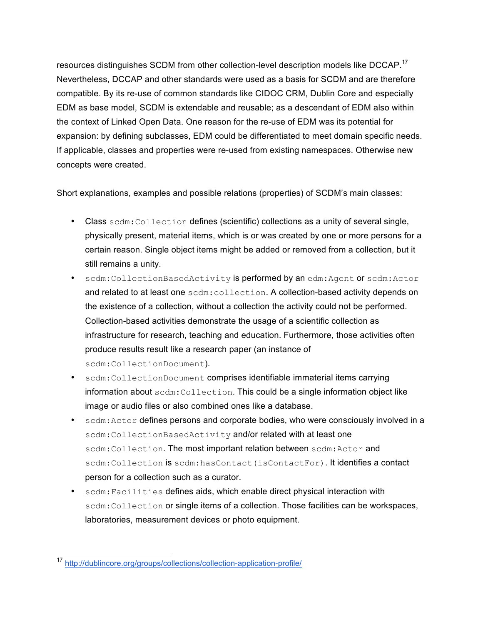resources distinguishes SCDM from other collection-level description models like DCCAP.<sup>17</sup> Nevertheless, DCCAP and other standards were used as a basis for SCDM and are therefore compatible. By its re-use of common standards like CIDOC CRM, Dublin Core and especially EDM as base model, SCDM is extendable and reusable; as a descendant of EDM also within the context of Linked Open Data. One reason for the re-use of EDM was its potential for expansion: by defining subclasses, EDM could be differentiated to meet domain specific needs. If applicable, classes and properties were re-used from existing namespaces. Otherwise new concepts were created.

Short explanations, examples and possible relations (properties) of SCDM's main classes:

- Class scdm:Collection defines (scientific) collections as a unity of several single, physically present, material items, which is or was created by one or more persons for a certain reason. Single object items might be added or removed from a collection, but it still remains a unity.
- scdm:CollectionBasedActivity is performed by an edm:Agent or scdm:Actor and related to at least one scdm: collection. A collection-based activity depends on the existence of a collection, without a collection the activity could not be performed. Collection-based activities demonstrate the usage of a scientific collection as infrastructure for research, teaching and education. Furthermore, those activities often produce results result like a research paper (an instance of scdm:CollectionDocument).
- scdm:CollectionDocument comprises identifiable immaterial items carrying information about scdm:Collection. This could be a single information object like image or audio files or also combined ones like a database.
- scdm: Actor defines persons and corporate bodies, who were consciously involved in a scdm: CollectionBasedActivity and/or related with at least one scdm:Collection. The most important relation between scdm: Actor and scdm:Collection is scdm:hasContact(isContactFor). It identifies a contact person for a collection such as a curator.
- scdm:Facilities defines aids, which enable direct physical interaction with scdm:Collection or single items of a collection. Those facilities can be workspaces, laboratories, measurement devices or photo equipment.

 <sup>17</sup> http://dublincore.org/groups/collections/collection-application-profile/